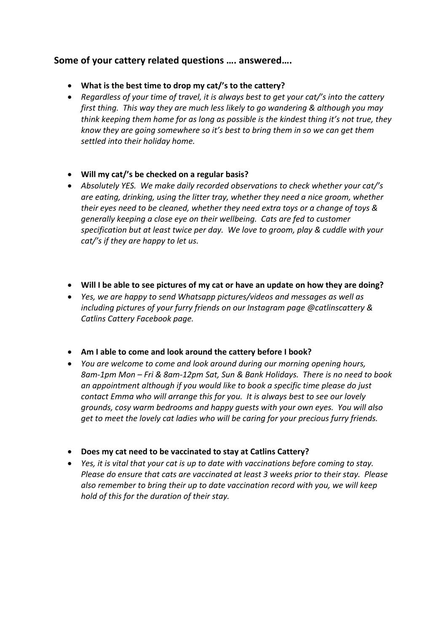## **Some of your cattery related questions …. answered….**

- **What is the best time to drop my cat/'s to the cattery?**
- *Regardless of your time of travel, it is always best to get your cat/'s into the cattery first thing. This way they are much less likely to go wandering & although you may think keeping them home for as long as possible is the kindest thing it's not true, they know they are going somewhere so it's best to bring them in so we can get them settled into their holiday home.*
- **Will my cat/'s be checked on a regular basis?**
- *Absolutely YES. We make daily recorded observations to check whether your cat/'s are eating, drinking, using the litter tray, whether they need a nice groom, whether their eyes need to be cleaned, whether they need extra toys or a change of toys & generally keeping a close eye on their wellbeing. Cats are fed to customer specification but at least twice per day. We love to groom, play & cuddle with your cat/'s if they are happy to let us.*
- **Will I be able to see pictures of my cat or have an update on how they are doing?**
- *Yes, we are happy to send Whatsapp pictures/videos and messages as well as including pictures of your furry friends on our Instagram page @catlinscattery & Catlins Cattery Facebook page.*
- **Am I able to come and look around the cattery before I book?**
- *You are welcome to come and look around during our morning opening hours, 8am-1pm Mon – Fri & 8am-12pm Sat, Sun & Bank Holidays. There is no need to book an appointment although if you would like to book a specific time please do just contact Emma who will arrange this for you. It is always best to see our lovely grounds, cosy warm bedrooms and happy guests with your own eyes. You will also get to meet the lovely cat ladies who will be caring for your precious furry friends.*
- **Does my cat need to be vaccinated to stay at Catlins Cattery?**
- *Yes, it is vital that your cat is up to date with vaccinations before coming to stay. Please do ensure that cats are vaccinated at least 3 weeks prior to their stay. Please also remember to bring their up to date vaccination record with you, we will keep hold of this for the duration of their stay.*